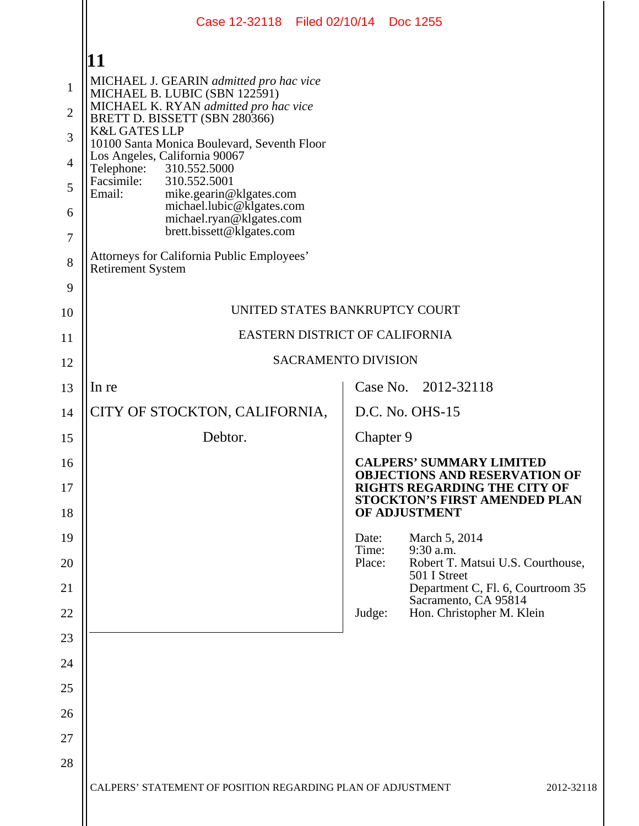|                  | Case 12-32118 Filed 02/10/14 Doc 1255                                    |                 |                                                                                              |  |  |
|------------------|--------------------------------------------------------------------------|-----------------|----------------------------------------------------------------------------------------------|--|--|
|                  | 11                                                                       |                 |                                                                                              |  |  |
| $\mathbf{1}$     | MICHAEL J. GEARIN admitted pro hac vice<br>MICHAEL B. LUBIC (SBN 122591) |                 |                                                                                              |  |  |
| $\overline{2}$   | MICHAEL K. RYAN admitted pro hac vice<br>BRETT D. BISSETT (SBN 280366)   |                 |                                                                                              |  |  |
| 3                | <b>K&amp;L GATES LLP</b><br>10100 Santa Monica Boulevard, Seventh Floor  |                 |                                                                                              |  |  |
| $\overline{4}$   | Los Angeles, California 90067<br>310.552.5000<br>Telephone:              |                 |                                                                                              |  |  |
| 5                | Facsimile:<br>310.552.5001<br>Email:<br>mike.gearin@klgates.com          |                 |                                                                                              |  |  |
| 6                | michael.lubic@klgates.com<br>michael.ryan@klgates.com                    |                 |                                                                                              |  |  |
| $\boldsymbol{7}$ | brett.bissett@klgates.com                                                |                 |                                                                                              |  |  |
| 8                | Attorneys for California Public Employees'<br><b>Retirement System</b>   |                 |                                                                                              |  |  |
| 9                |                                                                          |                 |                                                                                              |  |  |
| 10               | UNITED STATES BANKRUPTCY COURT                                           |                 |                                                                                              |  |  |
| 11               | EASTERN DISTRICT OF CALIFORNIA                                           |                 |                                                                                              |  |  |
| 12               | <b>SACRAMENTO DIVISION</b>                                               |                 |                                                                                              |  |  |
| 13               | In re                                                                    |                 | Case No. 2012-32118                                                                          |  |  |
| 14               | CITY OF STOCKTON, CALIFORNIA,                                            |                 | D.C. No. OHS-15                                                                              |  |  |
| 15               | Debtor.                                                                  | Chapter 9       |                                                                                              |  |  |
| 16               |                                                                          |                 | <b>CALPERS' SUMMARY LIMITED</b><br><b>OBJECTIONS AND RESERVATION OF</b>                      |  |  |
| 17<br>18         |                                                                          |                 | <b>RIGHTS REGARDING THE CITY OF</b><br><b>STOCKTON'S FIRST AMENDED PLAN</b><br>OF ADJUSTMENT |  |  |
| 19               |                                                                          | Date:           | March 5, 2014                                                                                |  |  |
| 20               |                                                                          | Time:<br>Place: | 9:30 a.m.<br>Robert T. Matsui U.S. Courthouse,<br>501 I Street                               |  |  |
| 21               |                                                                          |                 | Department C, Fl. 6, Courtroom 35<br>Sacramento, CA 95814                                    |  |  |
| 22               |                                                                          | Judge:          | Hon. Christopher M. Klein                                                                    |  |  |
| 23               |                                                                          |                 |                                                                                              |  |  |
| 24               |                                                                          |                 |                                                                                              |  |  |
| 25               |                                                                          |                 |                                                                                              |  |  |
| 26               |                                                                          |                 |                                                                                              |  |  |
| 27               |                                                                          |                 |                                                                                              |  |  |
| 28               |                                                                          |                 |                                                                                              |  |  |
|                  | CALPERS' STATEMENT OF POSITION REGARDING PLAN OF ADJUSTMENT              |                 | 2012-32118                                                                                   |  |  |
|                  |                                                                          |                 |                                                                                              |  |  |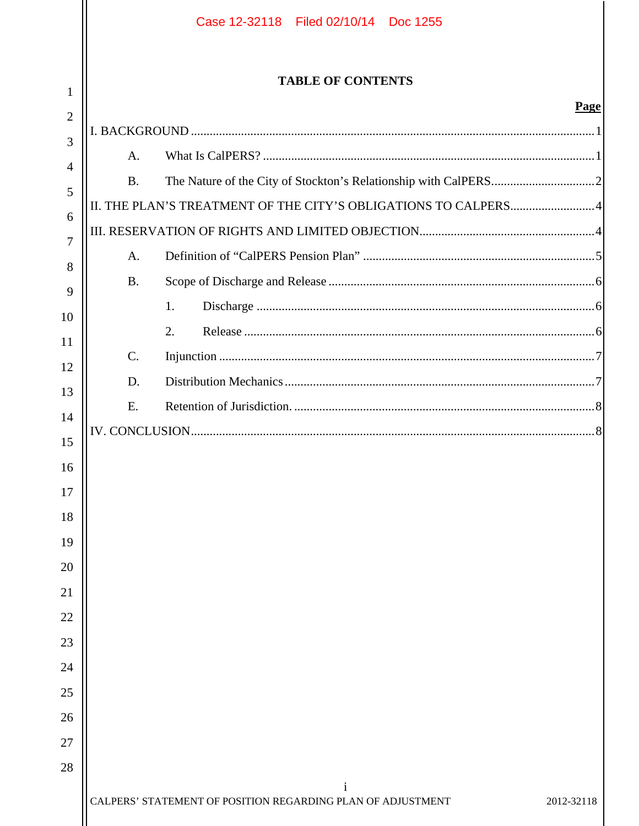|                | Case 12-32118 Filed 02/10/14 Doc 1255                                                     |  |
|----------------|-------------------------------------------------------------------------------------------|--|
| 1              | <b>TABLE OF CONTENTS</b>                                                                  |  |
| $\overline{2}$ | Page                                                                                      |  |
| 3              | A.                                                                                        |  |
| $\overline{4}$ | <b>B.</b>                                                                                 |  |
| 5              |                                                                                           |  |
| 6              |                                                                                           |  |
| 7              | A.                                                                                        |  |
| 8              | <b>B.</b>                                                                                 |  |
| 9              | 1.                                                                                        |  |
| 10             | 2.                                                                                        |  |
| 11             | $C$ .                                                                                     |  |
| 12             | D.                                                                                        |  |
| 13             | E.                                                                                        |  |
| 14             |                                                                                           |  |
| 15             |                                                                                           |  |
| 16             |                                                                                           |  |
| 17             |                                                                                           |  |
| 18             |                                                                                           |  |
| 19             |                                                                                           |  |
| 20             |                                                                                           |  |
| 21             |                                                                                           |  |
| 22             |                                                                                           |  |
| 23             |                                                                                           |  |
| 24             |                                                                                           |  |
| 25             |                                                                                           |  |
| 26             |                                                                                           |  |
| 27<br>28       |                                                                                           |  |
|                | $\mathbf{i}$<br>CALPERS' STATEMENT OF POSITION REGARDING PLAN OF ADJUSTMENT<br>2012-32118 |  |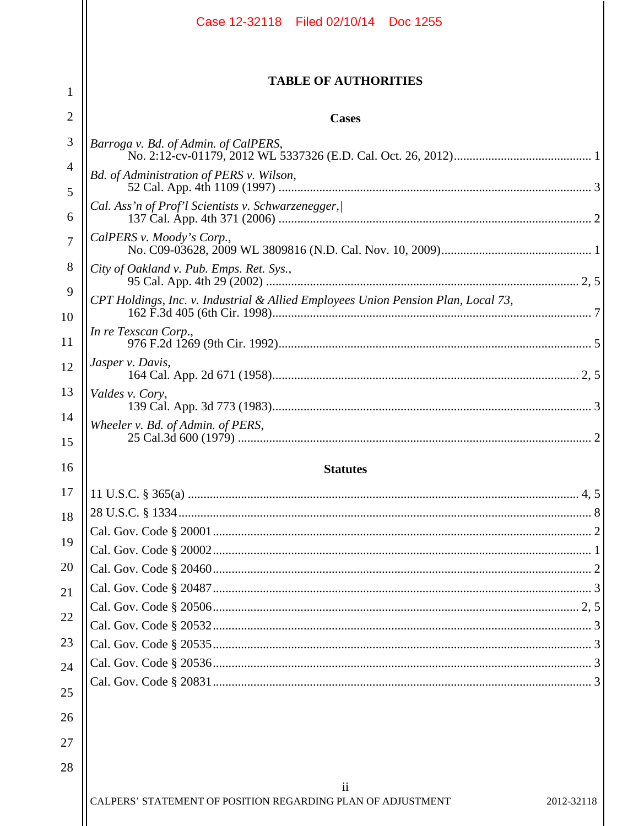|                | Case 12-32118 Filed 02/10/14 Doc 1255                                             |  |  |  |
|----------------|-----------------------------------------------------------------------------------|--|--|--|
| 1              | <b>TABLE OF AUTHORITIES</b>                                                       |  |  |  |
| 2              | <b>Cases</b>                                                                      |  |  |  |
| 3              |                                                                                   |  |  |  |
| $\overline{4}$ | Barroga v. Bd. of Admin. of CalPERS,                                              |  |  |  |
| 5              | Bd. of Administration of PERS v. Wilson,                                          |  |  |  |
| 6              | Cal. Ass'n of Prof'l Scientists v. Schwarzenegger,/                               |  |  |  |
| $\overline{7}$ | CalPERS v. Moody's Corp.,                                                         |  |  |  |
| 8              | City of Oakland v. Pub. Emps. Ret. Sys.,                                          |  |  |  |
| 9              | CPT Holdings, Inc. v. Industrial & Allied Employees Union Pension Plan, Local 73, |  |  |  |
| 10             | In re Texscan Corp.,                                                              |  |  |  |
| 11             | Jasper v. Davis,                                                                  |  |  |  |
| 12             |                                                                                   |  |  |  |
| 13             | Valdes v. Cory,                                                                   |  |  |  |
| 14<br>15       | Wheeler v. Bd. of Admin. of PERS,                                                 |  |  |  |
| 16             | <b>Statutes</b>                                                                   |  |  |  |
| 17             |                                                                                   |  |  |  |
| 18             |                                                                                   |  |  |  |
| 19             |                                                                                   |  |  |  |
|                |                                                                                   |  |  |  |
| 20             |                                                                                   |  |  |  |
| 21             |                                                                                   |  |  |  |
| 22             |                                                                                   |  |  |  |
| 23             |                                                                                   |  |  |  |
| 24             |                                                                                   |  |  |  |
| 25             |                                                                                   |  |  |  |
| 26             |                                                                                   |  |  |  |
| 27             |                                                                                   |  |  |  |
| 28             |                                                                                   |  |  |  |
|                | $\overline{\mathbf{u}}$                                                           |  |  |  |
|                | CALPERS' STATEMENT OF POSITION REGARDING PLAN OF ADJUSTMENT<br>2012-32118         |  |  |  |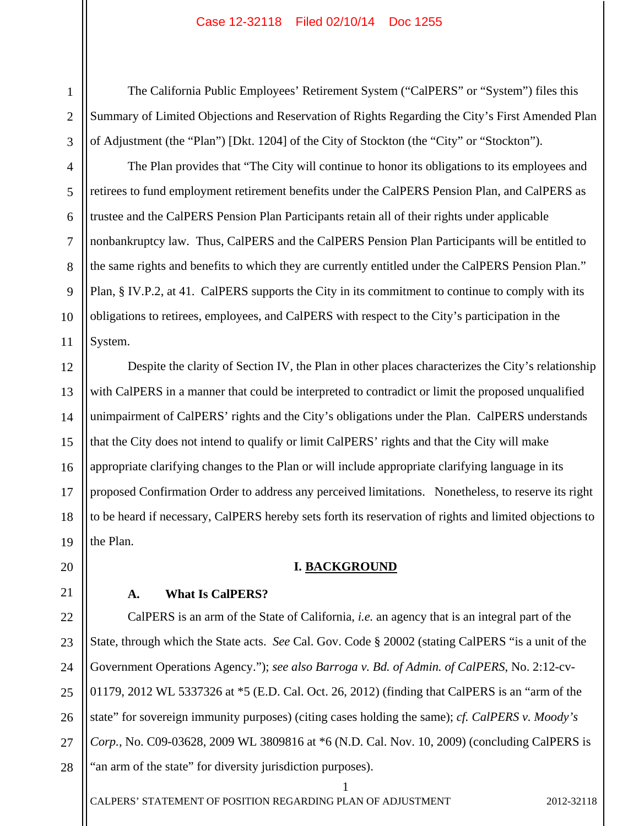The California Public Employees' Retirement System ("CalPERS" or "System") files this Summary of Limited Objections and Reservation of Rights Regarding the City's First Amended Plan of Adjustment (the "Plan") [Dkt. 1204] of the City of Stockton (the "City" or "Stockton").

The Plan provides that "The City will continue to honor its obligations to its employees and retirees to fund employment retirement benefits under the CalPERS Pension Plan, and CalPERS as trustee and the CalPERS Pension Plan Participants retain all of their rights under applicable nonbankruptcy law. Thus, CalPERS and the CalPERS Pension Plan Participants will be entitled to the same rights and benefits to which they are currently entitled under the CalPERS Pension Plan." Plan, § IV.P.2, at 41. CalPERS supports the City in its commitment to continue to comply with its obligations to retirees, employees, and CalPERS with respect to the City's participation in the System.

13 19 Despite the clarity of Section IV, the Plan in other places characterizes the City's relationship with CalPERS in a manner that could be interpreted to contradict or limit the proposed unqualified unimpairment of CalPERS' rights and the City's obligations under the Plan. CalPERS understands that the City does not intend to qualify or limit CalPERS' rights and that the City will make appropriate clarifying changes to the Plan or will include appropriate clarifying language in its proposed Confirmation Order to address any perceived limitations. Nonetheless, to reserve its right to be heard if necessary, CalPERS hereby sets forth its reservation of rights and limited objections to the Plan.

### **I. BACKGROUND**

### **A. What Is CalPERS?**

22 23 24 25 26 CalPERS is an arm of the State of California, *i.e.* an agency that is an integral part of the State, through which the State acts. *See* Cal. Gov. Code § 20002 (stating CalPERS "is a unit of the Government Operations Agency."); *see also Barroga v. Bd. of Admin. of CalPERS*, No. 2:12-cv-01179, 2012 WL 5337326 at \*5 (E.D. Cal. Oct. 26, 2012) (finding that CalPERS is an "arm of the state" for sovereign immunity purposes) (citing cases holding the same); *cf. CalPERS v. Moody's Corp.*, No. C09-03628, 2009 WL 3809816 at \*6 (N.D. Cal. Nov. 10, 2009) (concluding CalPERS is "an arm of the state" for diversity jurisdiction purposes).

1

11

12

14

15

16

17

18

20

21

1

3

4

5

27 28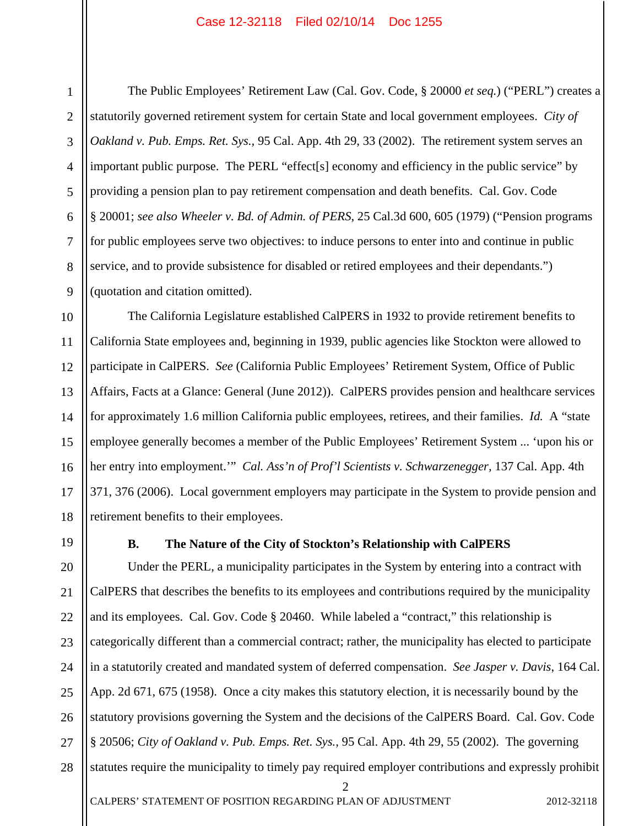6

7

8

9

1

The Public Employees' Retirement Law (Cal. Gov. Code, § 20000 *et seq.*) ("PERL") creates a statutorily governed retirement system for certain State and local government employees. *City of Oakland v. Pub. Emps. Ret. Sys.,* 95 Cal. App. 4th 29, 33 (2002). The retirement system serves an important public purpose. The PERL "effect[s] economy and efficiency in the public service" by providing a pension plan to pay retirement compensation and death benefits. Cal. Gov. Code § 20001; *see also Wheeler v. Bd. of Admin. of PERS*, 25 Cal.3d 600, 605 (1979) ("Pension programs for public employees serve two objectives: to induce persons to enter into and continue in public service, and to provide subsistence for disabled or retired employees and their dependants.") (quotation and citation omitted).

10 11 12 13 14 15 16 17 18 The California Legislature established CalPERS in 1932 to provide retirement benefits to California State employees and, beginning in 1939, public agencies like Stockton were allowed to participate in CalPERS. *See* (California Public Employees' Retirement System, Office of Public Affairs, Facts at a Glance: General (June 2012)). CalPERS provides pension and healthcare services for approximately 1.6 million California public employees, retirees, and their families. *Id.* A "state employee generally becomes a member of the Public Employees' Retirement System ... 'upon his or her entry into employment.'" *Cal. Ass'n of Prof'l Scientists v. Schwarzenegger,* 137 Cal. App. 4th 371, 376 (2006). Local government employers may participate in the System to provide pension and retirement benefits to their employees.

19

#### **B. The Nature of the City of Stockton's Relationship with CalPERS**

20 21 22 23 24 25 26 27 28 Under the PERL, a municipality participates in the System by entering into a contract with CalPERS that describes the benefits to its employees and contributions required by the municipality and its employees. Cal. Gov. Code § 20460. While labeled a "contract," this relationship is categorically different than a commercial contract; rather, the municipality has elected to participate in a statutorily created and mandated system of deferred compensation. *See Jasper v. Davis*, 164 Cal. App. 2d 671, 675 (1958). Once a city makes this statutory election, it is necessarily bound by the statutory provisions governing the System and the decisions of the CalPERS Board. Cal. Gov. Code § 20506; *City of Oakland v. Pub. Emps. Ret. Sys.*, 95 Cal. App. 4th 29, 55 (2002). The governing statutes require the municipality to timely pay required employer contributions and expressly prohibit

2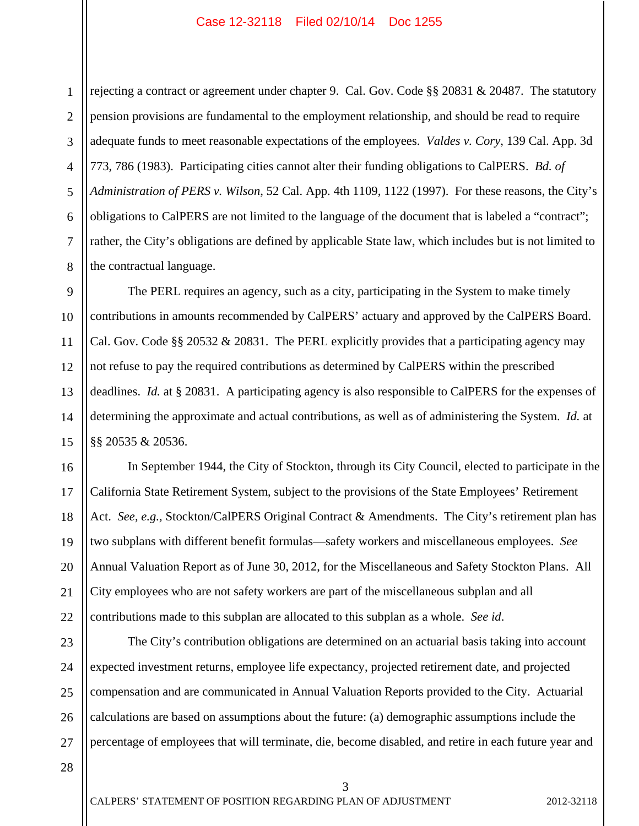1 2 3 4 5 6 7 8 rejecting a contract or agreement under chapter 9. Cal. Gov. Code §§ 20831 & 20487. The statutory pension provisions are fundamental to the employment relationship, and should be read to require adequate funds to meet reasonable expectations of the employees. *Valdes v. Cory*, 139 Cal. App. 3d 773, 786 (1983). Participating cities cannot alter their funding obligations to CalPERS. *Bd. of Administration of PERS v. Wilson*, 52 Cal. App. 4th 1109, 1122 (1997). For these reasons, the City's obligations to CalPERS are not limited to the language of the document that is labeled a "contract"; rather, the City's obligations are defined by applicable State law, which includes but is not limited to the contractual language.

 The PERL requires an agency, such as a city, participating in the System to make timely contributions in amounts recommended by CalPERS' actuary and approved by the CalPERS Board. Cal. Gov. Code §§ 20532 & 20831. The PERL explicitly provides that a participating agency may not refuse to pay the required contributions as determined by CalPERS within the prescribed deadlines. *Id.* at § 20831. A participating agency is also responsible to CalPERS for the expenses of determining the approximate and actual contributions, as well as of administering the System. *Id.* at §§ 20535 & 20536.

 In September 1944, the City of Stockton, through its City Council, elected to participate in the California State Retirement System, subject to the provisions of the State Employees' Retirement Act. *See, e.g.,* Stockton/CalPERS Original Contract & Amendments. The City's retirement plan has two subplans with different benefit formulas—safety workers and miscellaneous employees. *See* Annual Valuation Report as of June 30, 2012, for the Miscellaneous and Safety Stockton Plans. All City employees who are not safety workers are part of the miscellaneous subplan and all contributions made to this subplan are allocated to this subplan as a whole. *See id*.

23 24 25 26 27 The City's contribution obligations are determined on an actuarial basis taking into account expected investment returns, employee life expectancy, projected retirement date, and projected compensation and are communicated in Annual Valuation Reports provided to the City. Actuarial calculations are based on assumptions about the future: (a) demographic assumptions include the percentage of employees that will terminate, die, become disabled, and retire in each future year and

3

28

9

10

11

12

13

14

15

16

17

18

19

20

21

22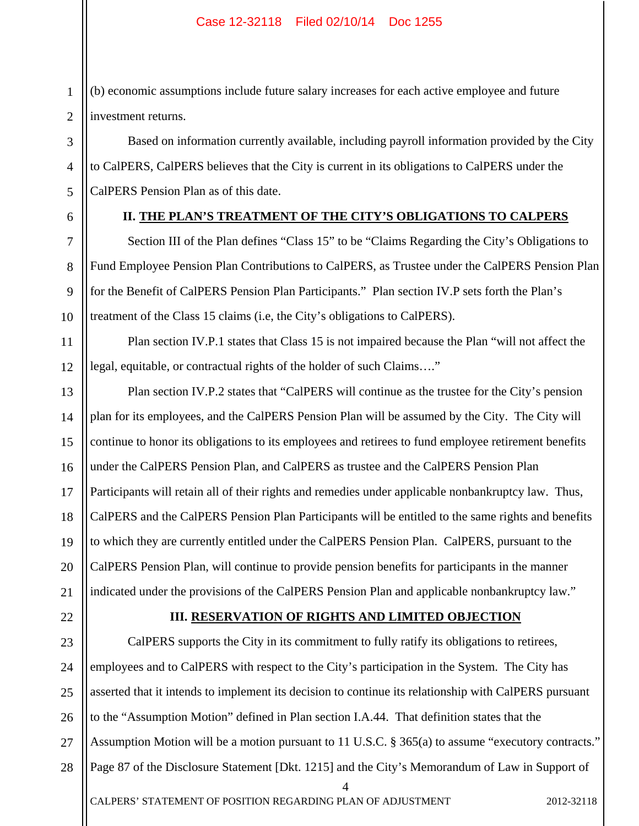(b) economic assumptions include future salary increases for each active employee and future investment returns.

Based on information currently available, including payroll information provided by the City to CalPERS, CalPERS believes that the City is current in its obligations to CalPERS under the CalPERS Pension Plan as of this date.

1

2

3

4

5

6

7

8

9

10

11

12

# **II. THE PLAN'S TREATMENT OF THE CITY'S OBLIGATIONS TO CALPERS**

Section III of the Plan defines "Class 15" to be "Claims Regarding the City's Obligations to Fund Employee Pension Plan Contributions to CalPERS, as Trustee under the CalPERS Pension Plan for the Benefit of CalPERS Pension Plan Participants." Plan section IV.P sets forth the Plan's treatment of the Class 15 claims (i.e, the City's obligations to CalPERS).

Plan section IV.P.1 states that Class 15 is not impaired because the Plan "will not affect the legal, equitable, or contractual rights of the holder of such Claims…."

13 14 15 16 17 18 19 20 21 Plan section IV.P.2 states that "CalPERS will continue as the trustee for the City's pension plan for its employees, and the CalPERS Pension Plan will be assumed by the City. The City will continue to honor its obligations to its employees and retirees to fund employee retirement benefits under the CalPERS Pension Plan, and CalPERS as trustee and the CalPERS Pension Plan Participants will retain all of their rights and remedies under applicable nonbankruptcy law. Thus, CalPERS and the CalPERS Pension Plan Participants will be entitled to the same rights and benefits to which they are currently entitled under the CalPERS Pension Plan. CalPERS, pursuant to the CalPERS Pension Plan, will continue to provide pension benefits for participants in the manner indicated under the provisions of the CalPERS Pension Plan and applicable nonbankruptcy law."

22

# **III. RESERVATION OF RIGHTS AND LIMITED OBJECTION**

23 24 25 26 27 28 4 CALPERS' STATEMENT OF POSITION REGARDING PLAN OF ADJUSTMENT 2012-32118 CalPERS supports the City in its commitment to fully ratify its obligations to retirees, employees and to CalPERS with respect to the City's participation in the System. The City has asserted that it intends to implement its decision to continue its relationship with CalPERS pursuant to the "Assumption Motion" defined in Plan section I.A.44. That definition states that the Assumption Motion will be a motion pursuant to 11 U.S.C. § 365(a) to assume "executory contracts." Page 87 of the Disclosure Statement [Dkt. 1215] and the City's Memorandum of Law in Support of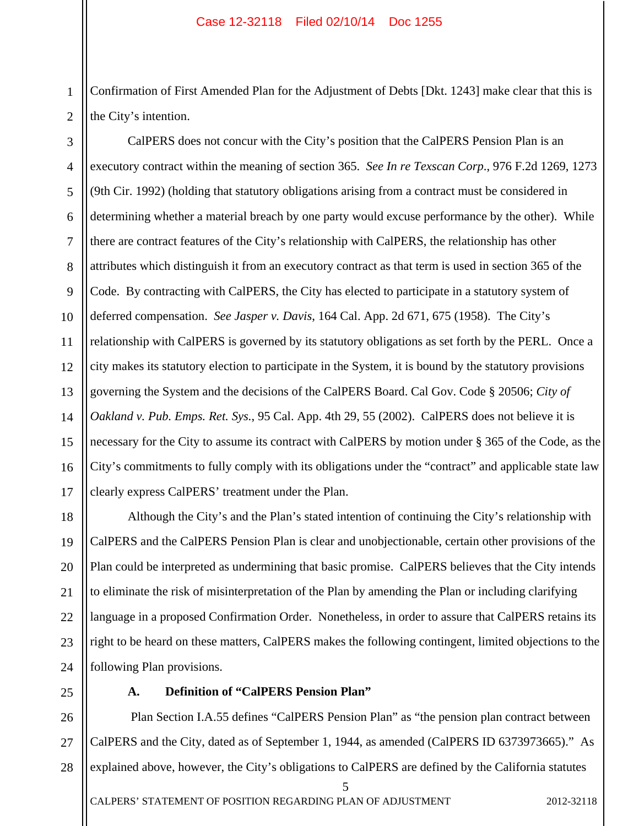1 Confirmation of First Amended Plan for the Adjustment of Debts [Dkt. 1243] make clear that this is the City's intention.

2 3

4 5 6 7 8 9 10 11 12 13 14 15 16 17 CalPERS does not concur with the City's position that the CalPERS Pension Plan is an executory contract within the meaning of section 365. *See In re Texscan Corp*., 976 F.2d 1269, 1273 (9th Cir. 1992) (holding that statutory obligations arising from a contract must be considered in determining whether a material breach by one party would excuse performance by the other). While there are contract features of the City's relationship with CalPERS, the relationship has other attributes which distinguish it from an executory contract as that term is used in section 365 of the Code. By contracting with CalPERS, the City has elected to participate in a statutory system of deferred compensation. *See Jasper v. Davis*, 164 Cal. App. 2d 671, 675 (1958). The City's relationship with CalPERS is governed by its statutory obligations as set forth by the PERL. Once a city makes its statutory election to participate in the System, it is bound by the statutory provisions governing the System and the decisions of the CalPERS Board. Cal Gov. Code § 20506; *City of Oakland v. Pub. Emps. Ret. Sys.*, 95 Cal. App. 4th 29, 55 (2002).CalPERS does not believe it is necessary for the City to assume its contract with CalPERS by motion under § 365 of the Code, as the City's commitments to fully comply with its obligations under the "contract" and applicable state law clearly express CalPERS' treatment under the Plan.

18 19 20 21 22 23 24 Although the City's and the Plan's stated intention of continuing the City's relationship with CalPERS and the CalPERS Pension Plan is clear and unobjectionable, certain other provisions of the Plan could be interpreted as undermining that basic promise. CalPERS believes that the City intends to eliminate the risk of misinterpretation of the Plan by amending the Plan or including clarifying language in a proposed Confirmation Order. Nonetheless, in order to assure that CalPERS retains its right to be heard on these matters, CalPERS makes the following contingent, limited objections to the following Plan provisions.

25

# **A. Definition of "CalPERS Pension Plan"**

26 27 28 Plan Section I.A.55 defines "CalPERS Pension Plan" as "the pension plan contract between CalPERS and the City, dated as of September 1, 1944, as amended (CalPERS ID 6373973665)." As explained above, however, the City's obligations to CalPERS are defined by the California statutes

5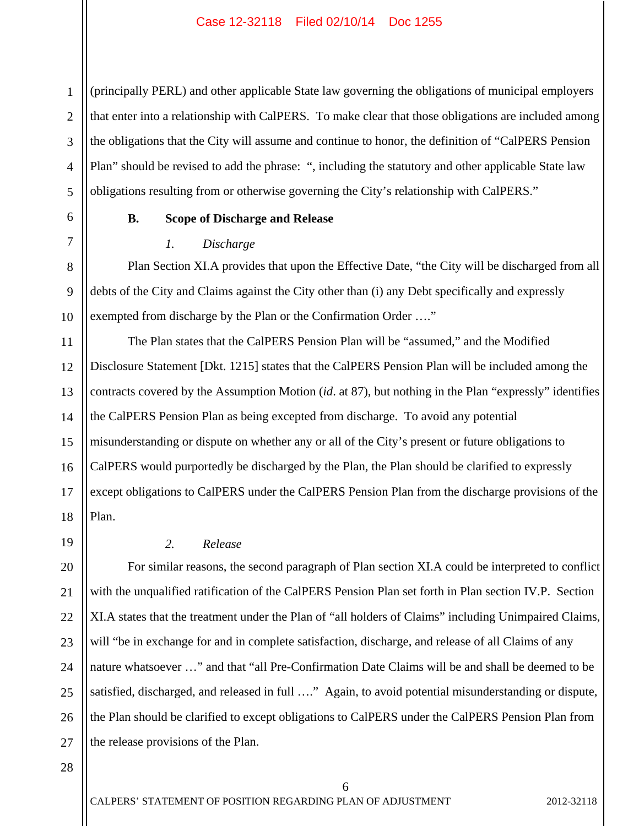1 2 3 4 5 (principally PERL) and other applicable State law governing the obligations of municipal employers that enter into a relationship with CalPERS. To make clear that those obligations are included among the obligations that the City will assume and continue to honor, the definition of "CalPERS Pension Plan" should be revised to add the phrase: ", including the statutory and other applicable State law obligations resulting from or otherwise governing the City's relationship with CalPERS."

6

7

8

9

10

### **B. Scope of Discharge and Release**

### *1. Discharge*

Plan Section XI.A provides that upon the Effective Date, "the City will be discharged from all debts of the City and Claims against the City other than (i) any Debt specifically and expressly exempted from discharge by the Plan or the Confirmation Order ...."

11 12 13 14 15 16 17 18 The Plan states that the CalPERS Pension Plan will be "assumed," and the Modified Disclosure Statement [Dkt. 1215] states that the CalPERS Pension Plan will be included among the contracts covered by the Assumption Motion (*id*. at 87), but nothing in the Plan "expressly" identifies the CalPERS Pension Plan as being excepted from discharge. To avoid any potential misunderstanding or dispute on whether any or all of the City's present or future obligations to CalPERS would purportedly be discharged by the Plan, the Plan should be clarified to expressly except obligations to CalPERS under the CalPERS Pension Plan from the discharge provisions of the Plan.

19

21

22

23

# *2. Release*

20 24 25 26 27 For similar reasons, the second paragraph of Plan section XI.A could be interpreted to conflict with the unqualified ratification of the CalPERS Pension Plan set forth in Plan section IV.P. Section XI.A states that the treatment under the Plan of "all holders of Claims" including Unimpaired Claims, will "be in exchange for and in complete satisfaction, discharge, and release of all Claims of any nature whatsoever …" and that "all Pre-Confirmation Date Claims will be and shall be deemed to be satisfied, discharged, and released in full …." Again, to avoid potential misunderstanding or dispute, the Plan should be clarified to except obligations to CalPERS under the CalPERS Pension Plan from the release provisions of the Plan.

6

<sup>28</sup>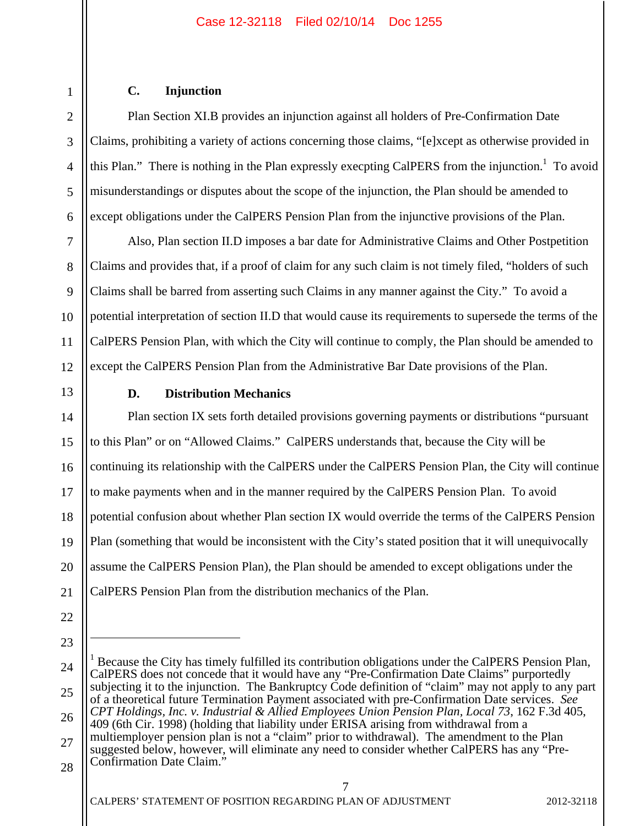### **C. Injunction**

Plan Section XI.B provides an injunction against all holders of Pre-Confirmation Date Claims, prohibiting a variety of actions concerning those claims, "[e]xcept as otherwise provided in this Plan." There is nothing in the Plan expressly execpting CalPERS from the injunction.<sup>1</sup> To avoid misunderstandings or disputes about the scope of the injunction, the Plan should be amended to except obligations under the CalPERS Pension Plan from the injunctive provisions of the Plan.

10 12 Also, Plan section II.D imposes a bar date for Administrative Claims and Other Postpetition Claims and provides that, if a proof of claim for any such claim is not timely filed, "holders of such Claims shall be barred from asserting such Claims in any manner against the City." To avoid a potential interpretation of section II.D that would cause its requirements to supersede the terms of the CalPERS Pension Plan, with which the City will continue to comply, the Plan should be amended to except the CalPERS Pension Plan from the Administrative Bar Date provisions of the Plan.

13

1

2

3

4

5

6

7

8

9

11

# **D. Distribution Mechanics**

14 15 16 17 18 19 20 21 Plan section IX sets forth detailed provisions governing payments or distributions "pursuant to this Plan" or on "Allowed Claims." CalPERS understands that, because the City will be continuing its relationship with the CalPERS under the CalPERS Pension Plan, the City will continue to make payments when and in the manner required by the CalPERS Pension Plan. To avoid potential confusion about whether Plan section IX would override the terms of the CalPERS Pension Plan (something that would be inconsistent with the City's stated position that it will unequivocally assume the CalPERS Pension Plan), the Plan should be amended to except obligations under the CalPERS Pension Plan from the distribution mechanics of the Plan.

- 22
- 

 $\overline{a}$ 

23

<sup>24</sup>  25 26 27 28 1 Because the City has timely fulfilled its contribution obligations under the CalPERS Pension Plan, CalPERS does not concede that it would have any "Pre-Confirmation Date Claims" purportedly subjecting it to the injunction. The Bankruptcy Code definition of "claim" may not apply to any part of a theoretical future Termination Payment associated with pre-Confirmation Date services. *See CPT Holdings, Inc. v. Industrial & Allied Employees Union Pension Plan, Local 73*, 162 F.3d 405, 409 (6th Cir. 1998) (holding that liability under ERISA arising from withdrawal from a multiemployer pension plan is not a "claim" prior to withdrawal). The amendment to the Plan suggested below, however, will eliminate any need to consider whether CalPERS has any "Pre-Confirmation Date Claim."